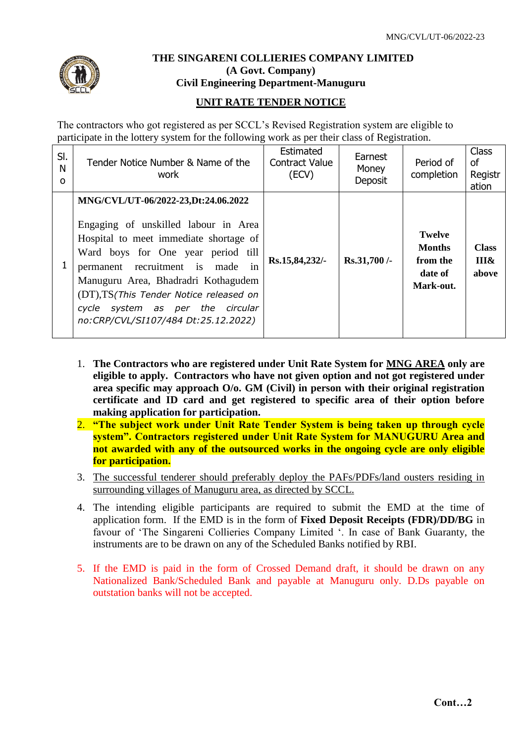

## **THE SINGARENI COLLIERIES COMPANY LIMITED (A Govt. Company) Civil Engineering Department-Manuguru**

## **UNIT RATE TENDER NOTICE**

The contractors who got registered as per SCCL's Revised Registration system are eligible to participate in the lottery system for the following work as per their class of Registration.

| SI.<br>N<br>$\Omega$ | Tender Notice Number & Name of the<br>work                                                                                                                                                                                                                                                                                                                     | Estimated<br><b>Contract Value</b><br>(ECV) | Earnest<br>Money<br>Deposit | Period of<br>completion                                            | <b>Class</b><br>0f<br>Registr<br>ation |
|----------------------|----------------------------------------------------------------------------------------------------------------------------------------------------------------------------------------------------------------------------------------------------------------------------------------------------------------------------------------------------------------|---------------------------------------------|-----------------------------|--------------------------------------------------------------------|----------------------------------------|
|                      | MNG/CVL/UT-06/2022-23, Dt:24.06.2022<br>Engaging of unskilled labour in Area<br>Hospital to meet immediate shortage of<br>Ward boys for One year period till<br>permanent recruitment is made in<br>Manuguru Area, Bhadradri Kothagudem<br>(DT), TS (This Tender Notice released on<br>cycle system as per the circular<br>no:CRP/CVL/SI107/484 Dt:25.12.2022) | Rs.15,84,232/-                              | Rs.31,700/-                 | <b>Twelve</b><br><b>Months</b><br>from the<br>date of<br>Mark-out. | <b>Class</b><br>III&<br>above          |

- 1. **The Contractors who are registered under Unit Rate System for MNG AREA only are eligible to apply. Contractors who have not given option and not got registered under area specific may approach O/o. GM (Civil) in person with their original registration certificate and ID card and get registered to specific area of their option before making application for participation.**
- 2. **"The subject work under Unit Rate Tender System is being taken up through cycle system". Contractors registered under Unit Rate System for MANUGURU Area and not awarded with any of the outsourced works in the ongoing cycle are only eligible for participation.**
- 3. The successful tenderer should preferably deploy the PAFs/PDFs/land ousters residing in surrounding villages of Manuguru area, as directed by SCCL.
- 4. The intending eligible participants are required to submit the EMD at the time of application form. If the EMD is in the form of **Fixed Deposit Receipts (FDR)/DD/BG** in favour of 'The Singareni Collieries Company Limited '. In case of Bank Guaranty, the instruments are to be drawn on any of the Scheduled Banks notified by RBI.
- 5. If the EMD is paid in the form of Crossed Demand draft, it should be drawn on any Nationalized Bank/Scheduled Bank and payable at Manuguru only. D.Ds payable on outstation banks will not be accepted.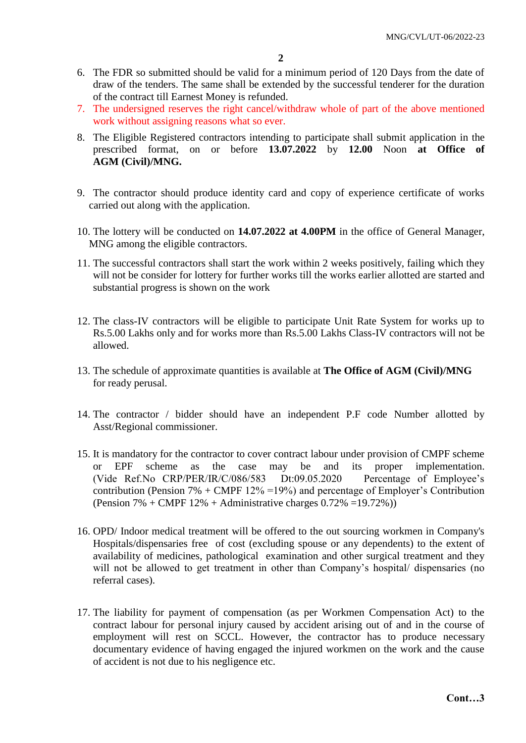- 6. The FDR so submitted should be valid for a minimum period of 120 Days from the date of draw of the tenders. The same shall be extended by the successful tenderer for the duration of the contract till Earnest Money is refunded.
- 7. The undersigned reserves the right cancel/withdraw whole of part of the above mentioned work without assigning reasons what so ever.
- 8. The Eligible Registered contractors intending to participate shall submit application in the prescribed format, on or before **13.07.2022** by **12.00** Noon **at Office of AGM (Civil)/MNG.**
- 9. The contractor should produce identity card and copy of experience certificate of works carried out along with the application.
- 10. The lottery will be conducted on **14.07.2022 at 4.00PM** in the office of General Manager, MNG among the eligible contractors.
- 11. The successful contractors shall start the work within 2 weeks positively, failing which they will not be consider for lottery for further works till the works earlier allotted are started and substantial progress is shown on the work
- 12. The class-IV contractors will be eligible to participate Unit Rate System for works up to Rs.5.00 Lakhs only and for works more than Rs.5.00 Lakhs Class-IV contractors will not be allowed.
- 13. The schedule of approximate quantities is available at **The Office of AGM (Civil)/MNG** for ready perusal.
- 14. The contractor / bidder should have an independent P.F code Number allotted by Asst/Regional commissioner.
- 15. It is mandatory for the contractor to cover contract labour under provision of CMPF scheme or EPF scheme as the case may be and its proper implementation. (Vide Ref.No CRP/PER/IR/C/086/583 Dt:09.05.2020 Percentage of Employee's contribution (Pension 7% + CMPF  $12\%$  =19%) and percentage of Employer's Contribution (Pension  $7\%$  + CMPF  $12\%$  + Administrative charges  $0.72\%$  =19.72%))
- 16. OPD/ Indoor medical treatment will be offered to the out sourcing workmen in Company's Hospitals/dispensaries free of cost (excluding spouse or any dependents) to the extent of availability of medicines, pathological examination and other surgical treatment and they will not be allowed to get treatment in other than Company's hospital/ dispensaries (no referral cases).
- 17. The liability for payment of compensation (as per Workmen Compensation Act) to the contract labour for personal injury caused by accident arising out of and in the course of employment will rest on SCCL. However, the contractor has to produce necessary documentary evidence of having engaged the injured workmen on the work and the cause of accident is not due to his negligence etc.